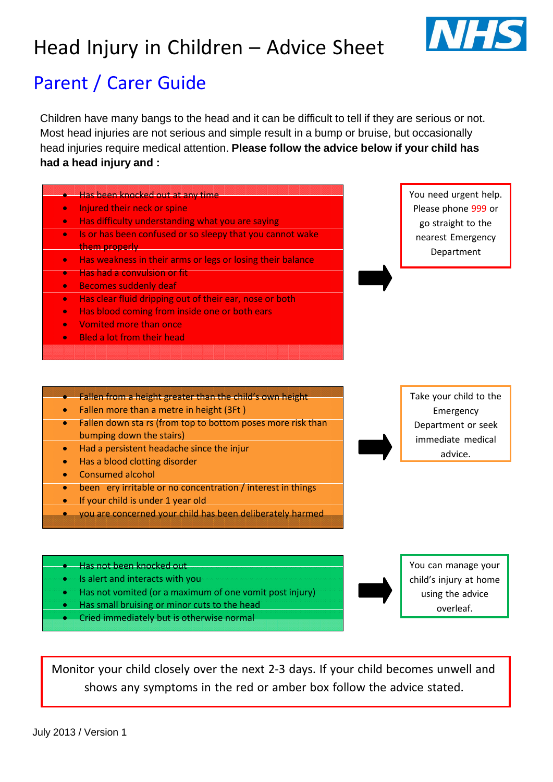## Head Injury in Children – Advice Sheet



## Parent / Carer Guide

Children have many bangs to the head and it can be difficult to tell if they are serious or not. Most head injuries are not serious and simple result in a bump or bruise, but occasionally head injuries require medical attention. **Please follow the advice below if your child has had a head injury and :**



Monitor your child closely over the next 2‐3 days. If your child becomes unwell and shows any symptoms in the red or amber box follow the advice stated.